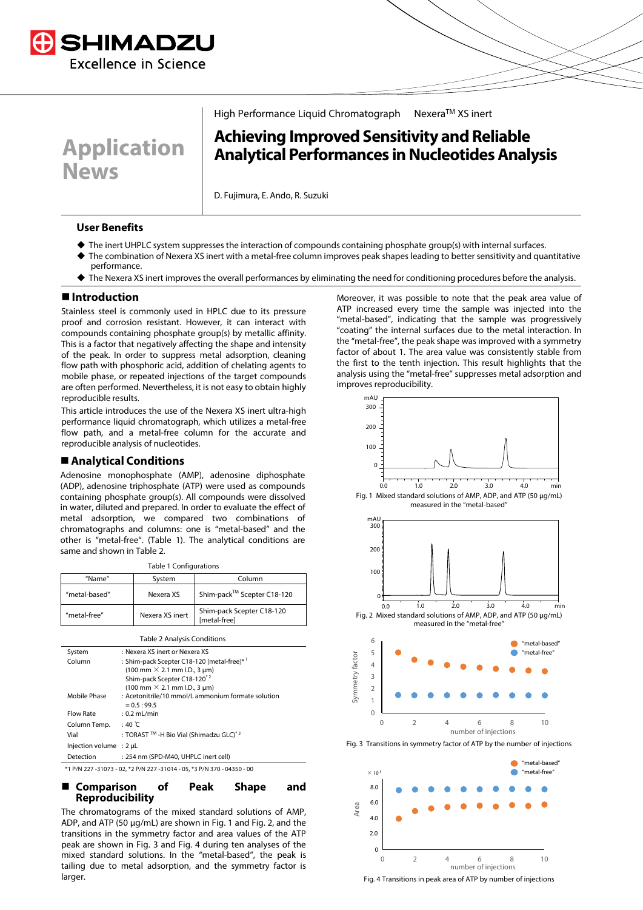

**Application** 

High Performance Liquid Chromatograph Nexera™ XS inert

# **Achieving Improved Sensitivity and Reliable Analytical Performances in Nucleotides Analysis**

D. Fujimura, E. Ando, R. Suzuki

#### **User Benefits**

**News**

- The inert UHPLC system suppresses the interaction of compounds containing phosphate group(s) with internal surfaces.
- The combination of Nexera XS inert with a metal-free column improves peak shapes leading to better sensitivity and quantitative performance.
- The Nexera XS inert improves the overall performances by eliminating the need for conditioning procedures before the analysis.

#### **Introduction**

Stainless steel is commonly used in HPLC due to its pressure proof and corrosion resistant. However, it can interact with compounds containing phosphate group(s) by metallic affinity. This is a factor that negatively affecting the shape and intensity of the peak. In order to suppress metal adsorption, cleaning flow path with phosphoric acid, addition of chelating agents to mobile phase, or repeated injections of the target compounds are often performed. Nevertheless, it is not easy to obtain highly reproducible results.

This article introduces the use of the Nexera XS inert ultra-high performance liquid chromatograph, which utilizes a metal-free flow path, and a metal-free column for the accurate and reproducible analysis of nucleotides.

#### **Analytical Conditions**

Adenosine monophosphate (AMP), adenosine diphosphate (ADP), adenosine triphosphate (ATP) were used as compounds containing phosphate group(s). All compounds were dissolved in water, diluted and prepared. In order to evaluate the effect of metal adsorption, we compared two combinations of chromatographs and columns: one is "metal-based" and the other is "metal-free". (Table 1). The analytical conditions are same and shown in Table 2.

| Table 1 Configurations |                 |                                           |  |
|------------------------|-----------------|-------------------------------------------|--|
| "Name"                 | System          | Column                                    |  |
| "metal-based"          | Nexera XS       | Shim-pack™ Scepter C18-120                |  |
| "metal-free"           | Nexera XS inert | Shim-pack Scepter C18-120<br>[metal-free] |  |

| <b>Table 2 Analysis Conditions</b>                                      |                                                                      |  |
|-------------------------------------------------------------------------|----------------------------------------------------------------------|--|
| System                                                                  | : Nexera XS inert or Nexera XS                                       |  |
| Column                                                                  | : Shim-pack Scepter C18-120 [metal-free]* 1                          |  |
|                                                                         | $(100 \text{ mm} \times 2.1 \text{ mm} \text{ L.D., } 3 \text{ µm})$ |  |
|                                                                         | Shim-pack Scepter C18-120 <sup>*2</sup>                              |  |
|                                                                         | $(100 \text{ mm} \times 2.1 \text{ mm} \text{ I.D., } 3 \text{ µm})$ |  |
| Mobile Phase                                                            | : Acetonitrile/10 mmol/L ammonium formate solution                   |  |
|                                                                         | $= 0.5 : 99.5$                                                       |  |
| <b>Flow Rate</b>                                                        | $: 0.2$ mL/min                                                       |  |
| Column Temp.                                                            | $:40^{\circ}$ C                                                      |  |
| Vial                                                                    | : TORAST ™ -H Bio Vial (Shimadzu GLC) <sup>* 3</sup>                 |  |
| Injection volume $: 2 \mu L$                                            |                                                                      |  |
| Detection                                                               | : 254 nm (SPD-M40, UHPLC inert cell)                                 |  |
| *1 P/N 227 -31073 - 02, *2 P/N 227 -31014 - 05, *3 P/N 370 - 04350 - 00 |                                                                      |  |

 **Comparison of Peak Shape and Reproducibility**

The chromatograms of the mixed standard solutions of AMP, ADP, and ATP (50 μg/mL) are shown in Fig. 1 and Fig. 2, and the transitions in the symmetry factor and area values of the ATP peak are shown in Fig. 3 and Fig. 4 during ten analyses of the mixed standard solutions. In the "metal-based", the peak is tailing due to metal adsorption, and the symmetry factor is larger.

Moreover, it was possible to note that the peak area value of ATP increased every time the sample was injected into the "metal-based", indicating that the sample was progressively "coating" the internal surfaces due to the metal interaction. In the "metal-free", the peak shape was improved with a symmetry factor of about 1. The area value was consistently stable from the first to the tenth injection. This result highlights that the analysis using the "metal-free" suppresses metal adsorption and improves reproducibility.



Fig. 3 Transitions in symmetry factor of ATP by the number of injections



Fig. 4 Transitions in peak area of ATP by number of injections